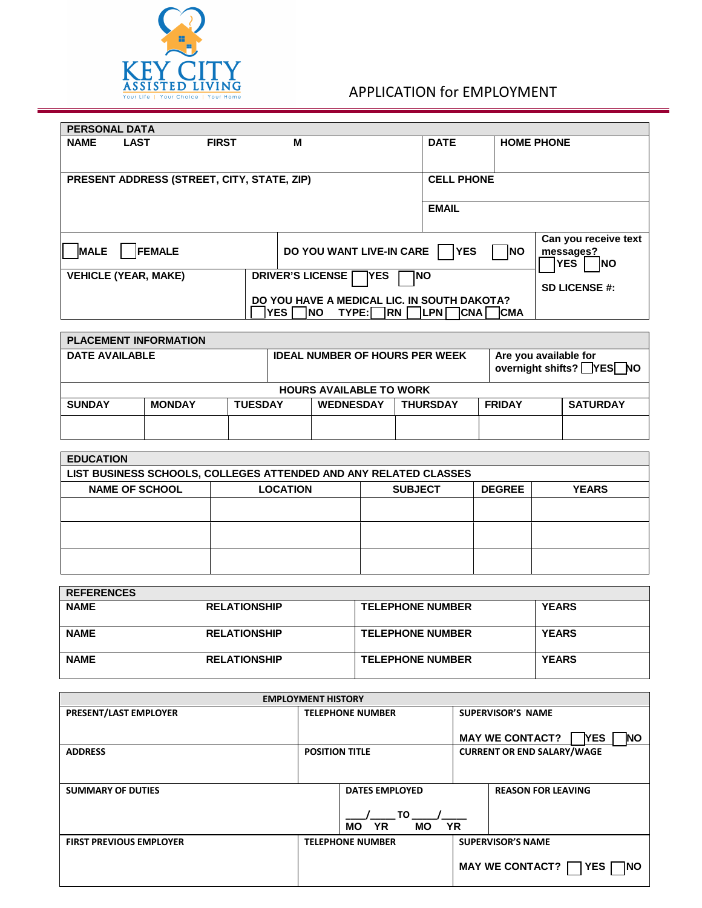

## APPLICATION for EMPLOYMENT

| <b>PERSONAL DATA</b>                                     |                             |              |                                                                                                                                                |                      |                                                                             |  |
|----------------------------------------------------------|-----------------------------|--------------|------------------------------------------------------------------------------------------------------------------------------------------------|----------------------|-----------------------------------------------------------------------------|--|
| <b>NAME</b>                                              | <b>LAST</b>                 | <b>FIRST</b> | м                                                                                                                                              | <b>DATE</b>          | <b>HOME PHONE</b>                                                           |  |
| PRESENT ADDRESS (STREET, CITY, STATE, ZIP)               |                             |              |                                                                                                                                                | <b>CELL PHONE</b>    |                                                                             |  |
|                                                          |                             |              |                                                                                                                                                | <b>EMAIL</b>         |                                                                             |  |
| <b>MALE</b><br><b>FEMALE</b><br>DO YOU WANT LIVE-IN CARE |                             |              |                                                                                                                                                | <b>IYES</b>          | Can you receive text<br><b>INO</b><br>messages?<br><b>YES</b><br><b>INO</b> |  |
|                                                          | <b>VEHICLE (YEAR, MAKE)</b> |              | <b>DRIVER'S LICENSE</b><br>TYES!<br>1NO                                                                                                        | <b>SD LICENSE #:</b> |                                                                             |  |
|                                                          |                             |              | DO YOU HAVE A MEDICAL LIC. IN SOUTH DAKOTA?<br><b>IYES</b><br><b>INO</b><br>TYPE:I<br><b>IRN</b><br><b>ILPNI</b><br><b>ICNAI</b><br><b>CMA</b> |                      |                                                                             |  |

| <b>PLACEMENT INFORMATION</b>   |                                                                        |  |                                       |  |  |               |                                                           |  |
|--------------------------------|------------------------------------------------------------------------|--|---------------------------------------|--|--|---------------|-----------------------------------------------------------|--|
| DATE AVAILABLE                 |                                                                        |  | <b>IDEAL NUMBER OF HOURS PER WEEK</b> |  |  |               | Are you available for<br>overnight shifts? <b>PYES</b> NO |  |
| <b>HOURS AVAILABLE TO WORK</b> |                                                                        |  |                                       |  |  |               |                                                           |  |
| <b>SUNDAY</b>                  | <b>THURSDAY</b><br><b>WEDNESDAY</b><br><b>MONDAY</b><br><b>TUESDAY</b> |  |                                       |  |  | <b>FRIDAY</b> | <b>SATURDAY</b>                                           |  |
|                                |                                                                        |  |                                       |  |  |               |                                                           |  |

| <b>EDUCATION</b>                                                                            |  |  |  |  |  |  |  |
|---------------------------------------------------------------------------------------------|--|--|--|--|--|--|--|
| LIST BUSINESS SCHOOLS, COLLEGES ATTENDED AND ANY RELATED CLASSES                            |  |  |  |  |  |  |  |
| <b>NAME OF SCHOOL</b><br><b>LOCATION</b><br><b>YEARS</b><br><b>SUBJECT</b><br><b>DEGREE</b> |  |  |  |  |  |  |  |
|                                                                                             |  |  |  |  |  |  |  |
|                                                                                             |  |  |  |  |  |  |  |
|                                                                                             |  |  |  |  |  |  |  |
|                                                                                             |  |  |  |  |  |  |  |
|                                                                                             |  |  |  |  |  |  |  |
|                                                                                             |  |  |  |  |  |  |  |

| <b>REFERENCES</b> |                     |                         |              |
|-------------------|---------------------|-------------------------|--------------|
| <b>NAME</b>       | <b>RELATIONSHIP</b> | <b>TELEPHONE NUMBER</b> | <b>YEARS</b> |
| <b>NAME</b>       | <b>RELATIONSHIP</b> | <b>TELEPHONE NUMBER</b> | <b>YEARS</b> |
| <b>NAME</b>       | <b>RELATIONSHIP</b> | <b>TELEPHONE NUMBER</b> | <b>YEARS</b> |

| <b>EMPLOYMENT HISTORY</b>      |                         |                                           |                                   |                                              |  |  |
|--------------------------------|-------------------------|-------------------------------------------|-----------------------------------|----------------------------------------------|--|--|
| <b>PRESENT/LAST EMPLOYER</b>   | <b>TELEPHONE NUMBER</b> |                                           | <b>SUPERVISOR'S NAME</b>          |                                              |  |  |
|                                |                         |                                           |                                   | MAY WE CONTACT? I<br><b>YES</b><br><b>NO</b> |  |  |
| <b>ADDRESS</b>                 | <b>POSITION TITLE</b>   |                                           | <b>CURRENT OR END SALARY/WAGE</b> |                                              |  |  |
|                                |                         |                                           |                                   |                                              |  |  |
| <b>SUMMARY OF DUTIES</b>       |                         | <b>DATES EMPLOYED</b>                     |                                   | <b>REASON FOR LEAVING</b>                    |  |  |
|                                |                         | TO<br><b>YR</b><br><b>MO</b><br><b>MO</b> | <b>YR</b>                         |                                              |  |  |
| <b>FIRST PREVIOUS EMPLOYER</b> | <b>TELEPHONE NUMBER</b> |                                           | <b>SUPERVISOR'S NAME</b>          |                                              |  |  |
|                                |                         |                                           |                                   | MAY WE CONTACT?   YES  <br><b>INO</b>        |  |  |